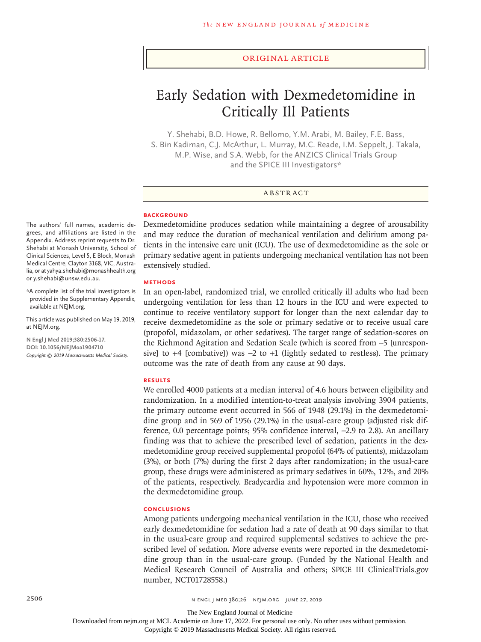#### Original Article

# Early Sedation with Dexmedetomidine in Critically Ill Patients

Y. Shehabi, B.D. Howe, R. Bellomo, Y.M. Arabi, M. Bailey, F.E. Bass, S. Bin Kadiman, C.J. McArthur, L. Murray, M.C. Reade, I.M. Seppelt, J. Takala, M.P. Wise, and S.A. Webb, for the ANZICS Clinical Trials Group and the SPICE III Investigators\*

#### ABSTRACT

#### **BACKGROUND**

The authors' full names, academic degrees, and affiliations are listed in the Appendix. Address reprint requests to Dr. Shehabi at Monash University, School of Clinical Sciences, Level 5, E Block, Monash Medical Centre, Clayton 3168, VIC, Australia, or at yahya.shehabi@monashhealth.org or y.shehabi@unsw.edu.au.

\*A complete list of the trial investigators is provided in the Supplementary Appendix, available at NEJM.org.

This article was published on May 19, 2019, at NEJM.org.

**N Engl J Med 2019;380:2506-17. DOI: 10.1056/NEJMoa1904710** *Copyright © 2019 Massachusetts Medical Society.* Dexmedetomidine produces sedation while maintaining a degree of arousability and may reduce the duration of mechanical ventilation and delirium among patients in the intensive care unit (ICU). The use of dexmedetomidine as the sole or primary sedative agent in patients undergoing mechanical ventilation has not been extensively studied.

#### **METHODS**

In an open-label, randomized trial, we enrolled critically ill adults who had been undergoing ventilation for less than 12 hours in the ICU and were expected to continue to receive ventilatory support for longer than the next calendar day to receive dexmedetomidine as the sole or primary sedative or to receive usual care (propofol, midazolam, or other sedatives). The target range of sedation-scores on the Richmond Agitation and Sedation Scale (which is scored from −5 [unresponsive] to +4 [combative]) was −2 to +1 (lightly sedated to restless). The primary outcome was the rate of death from any cause at 90 days.

#### **RESULTS**

We enrolled 4000 patients at a median interval of 4.6 hours between eligibility and randomization. In a modified intention-to-treat analysis involving 3904 patients, the primary outcome event occurred in 566 of 1948 (29.1%) in the dexmedetomidine group and in 569 of 1956 (29.1%) in the usual-care group (adjusted risk difference, 0.0 percentage points; 95% confidence interval, −2.9 to 2.8). An ancillary finding was that to achieve the prescribed level of sedation, patients in the dexmedetomidine group received supplemental propofol (64% of patients), midazolam (3%), or both (7%) during the first 2 days after randomization; in the usual-care group, these drugs were administered as primary sedatives in 60%, 12%, and 20% of the patients, respectively. Bradycardia and hypotension were more common in the dexmedetomidine group.

#### **CONCLUSIONS**

Among patients undergoing mechanical ventilation in the ICU, those who received early dexmedetomidine for sedation had a rate of death at 90 days similar to that in the usual-care group and required supplemental sedatives to achieve the prescribed level of sedation. More adverse events were reported in the dexmedetomidine group than in the usual-care group. (Funded by the National Health and Medical Research Council of Australia and others; SPICE III ClinicalTrials.gov number, NCT01728558.)

The New England Journal of Medicine

Downloaded from nejm.org at MCL Academie on June 17, 2022. For personal use only. No other uses without permission.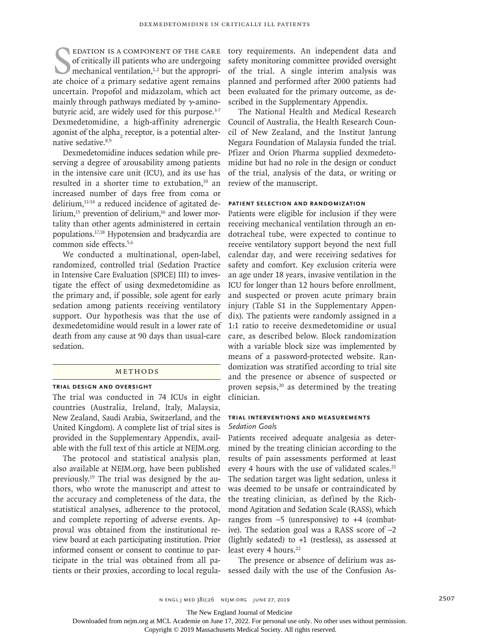EDATION IS A COMPONENT OF THE CARE<br>of critically ill patients who are undergoing<br>mechanical ventilation,<sup>1,2</sup> but the appropri-<br>ate choice of a primary sedative agent remains edation is a component of the care of critically ill patients who are undergoing mechanical ventilation, $1,2$  but the appropriuncertain. Propofol and midazolam, which act mainly through pathways mediated by  $\gamma$ -aminobutyric acid, are widely used for this purpose. $3-7$ Dexmedetomidine, a high-affinity adrenergic agonist of the alpha<sub>2</sub> receptor, is a potential alternative sedative.8,9

Dexmedetomidine induces sedation while preserving a degree of arousability among patients in the intensive care unit (ICU), and its use has resulted in a shorter time to extubation, $10$  an increased number of days free from coma or delirium,<sup>11-14</sup> a reduced incidence of agitated delirium,<sup>15</sup> prevention of delirium,<sup>16</sup> and lower mortality than other agents administered in certain populations.17,18 Hypotension and bradycardia are common side effects.5,6

We conducted a multinational, open-label, randomized, controlled trial (Sedation Practice in Intensive Care Evaluation [SPICE] III) to investigate the effect of using dexmedetomidine as the primary and, if possible, sole agent for early sedation among patients receiving ventilatory support. Our hypothesis was that the use of dexmedetomidine would result in a lower rate of death from any cause at 90 days than usual-care sedation.

#### METHODS

#### **Trial Design and Oversight**

The trial was conducted in 74 ICUs in eight countries (Australia, Ireland, Italy, Malaysia, New Zealand, Saudi Arabia, Switzerland, and the United Kingdom). A complete list of trial sites is provided in the Supplementary Appendix, available with the full text of this article at NEJM.org.

The protocol and statistical analysis plan, also available at NEJM.org, have been published previously.19 The trial was designed by the authors, who wrote the manuscript and attest to the accuracy and completeness of the data, the statistical analyses, adherence to the protocol, and complete reporting of adverse events. Approval was obtained from the institutional review board at each participating institution. Prior informed consent or consent to continue to participate in the trial was obtained from all patients or their proxies, according to local regula-

tory requirements. An independent data and safety monitoring committee provided oversight of the trial. A single interim analysis was planned and performed after 2000 patients had been evaluated for the primary outcome, as described in the Supplementary Appendix.

The National Health and Medical Research Council of Australia, the Health Research Council of New Zealand, and the Institut Jantung Negara Foundation of Malaysia funded the trial. Pfizer and Orion Pharma supplied dexmedetomidine but had no role in the design or conduct of the trial, analysis of the data, or writing or review of the manuscript.

## **Patient Selection and Randomization**

Patients were eligible for inclusion if they were receiving mechanical ventilation through an endotracheal tube, were expected to continue to receive ventilatory support beyond the next full calendar day, and were receiving sedatives for safety and comfort. Key exclusion criteria were an age under 18 years, invasive ventilation in the ICU for longer than 12 hours before enrollment, and suspected or proven acute primary brain injury (Table S1 in the Supplementary Appendix). The patients were randomly assigned in a 1:1 ratio to receive dexmedetomidine or usual care, as described below. Block randomization with a variable block size was implemented by means of a password-protected website. Randomization was stratified according to trial site and the presence or absence of suspected or proven sepsis,<sup>20</sup> as determined by the treating clinician.

## **Trial Interventions and Measurements** *Sedation Goals*

Patients received adequate analgesia as determined by the treating clinician according to the results of pain assessments performed at least every 4 hours with the use of validated scales.<sup>21</sup> The sedation target was light sedation, unless it was deemed to be unsafe or contraindicated by the treating clinician, as defined by the Richmond Agitation and Sedation Scale (RASS), which ranges from −5 (unresponsive) to +4 (combative). The sedation goal was a RASS score of −2 (lightly sedated) to +1 (restless), as assessed at least every 4 hours.<sup>22</sup>

The presence or absence of delirium was assessed daily with the use of the Confusion As-

The New England Journal of Medicine

Downloaded from nejm.org at MCL Academie on June 17, 2022. For personal use only. No other uses without permission.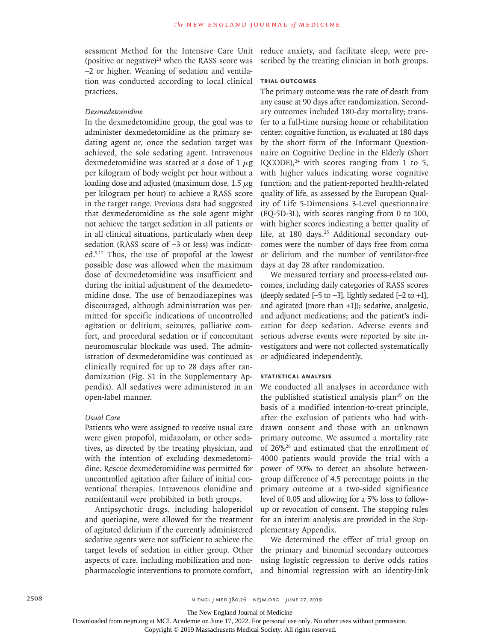(positive or negative) $^{23}$  when the RASS score was −2 or higher. Weaning of sedation and ventilation was conducted according to local clinical practices.

# *Dexmedetomidine*

In the dexmedetomidine group, the goal was to administer dexmedetomidine as the primary sedating agent or, once the sedation target was achieved, the sole sedating agent. Intravenous dexmedetomidine was started at a dose of 1  $\mu$ g per kilogram of body weight per hour without a loading dose and adjusted (maximum dose,  $1.5 \mu$ g per kilogram per hour) to achieve a RASS score in the target range. Previous data had suggested that dexmedetomidine as the sole agent might not achieve the target sedation in all patients or in all clinical situations, particularly when deep sedation (RASS score of −3 or less) was indicated.9,12 Thus, the use of propofol at the lowest possible dose was allowed when the maximum dose of dexmedetomidine was insufficient and during the initial adjustment of the dexmedetomidine dose. The use of benzodiazepines was discouraged, although administration was permitted for specific indications of uncontrolled agitation or delirium, seizures, palliative comfort, and procedural sedation or if concomitant neuromuscular blockade was used. The administration of dexmedetomidine was continued as clinically required for up to 28 days after randomization (Fig. S1 in the Supplementary Appendix). All sedatives were administered in an open-label manner.

#### *Usual Care*

Patients who were assigned to receive usual care were given propofol, midazolam, or other sedatives, as directed by the treating physician, and with the intention of excluding dexmedetomidine. Rescue dexmedetomidine was permitted for uncontrolled agitation after failure of initial conventional therapies. Intravenous clonidine and remifentanil were prohibited in both groups.

Antipsychotic drugs, including haloperidol and quetiapine, were allowed for the treatment of agitated delirium if the currently administered sedative agents were not sufficient to achieve the target levels of sedation in either group. Other aspects of care, including mobilization and nonpharmacologic interventions to promote comfort,

sessment Method for the Intensive Care Unit reduce anxiety, and facilitate sleep, were prescribed by the treating clinician in both groups.

#### **Trial Outcomes**

The primary outcome was the rate of death from any cause at 90 days after randomization. Secondary outcomes included 180-day mortality; transfer to a full-time nursing home or rehabilitation center; cognitive function, as evaluated at 180 days by the short form of the Informant Questionnaire on Cognitive Decline in the Elderly (Short IQCODE), $24$  with scores ranging from 1 to 5, with higher values indicating worse cognitive function; and the patient-reported health-related quality of life, as assessed by the European Quality of Life 5-Dimensions 3-Level questionnaire (EQ-5D-3L), with scores ranging from 0 to 100, with higher scores indicating a better quality of life, at 180 days.<sup>25</sup> Additional secondary outcomes were the number of days free from coma or delirium and the number of ventilator-free days at day 28 after randomization.

We measured tertiary and process-related outcomes, including daily categories of RASS scores (deeply sedated [−5 to −3], lightly sedated [−2 to +1], and agitated [more than +1]); sedative, analgesic, and adjunct medications; and the patient's indication for deep sedation. Adverse events and serious adverse events were reported by site investigators and were not collected systematically or adjudicated independently.

### **Statistical Analysis**

We conducted all analyses in accordance with the published statistical analysis plan $19$  on the basis of a modified intention-to-treat principle, after the exclusion of patients who had withdrawn consent and those with an unknown primary outcome. We assumed a mortality rate of 26%26 and estimated that the enrollment of 4000 patients would provide the trial with a power of 90% to detect an absolute betweengroup difference of 4.5 percentage points in the primary outcome at a two-sided significance level of 0.05 and allowing for a 5% loss to followup or revocation of consent. The stopping rules for an interim analysis are provided in the Supplementary Appendix.

We determined the effect of trial group on the primary and binomial secondary outcomes using logistic regression to derive odds ratios and binomial regression with an identity-link

The New England Journal of Medicine

Downloaded from nejm.org at MCL Academie on June 17, 2022. For personal use only. No other uses without permission.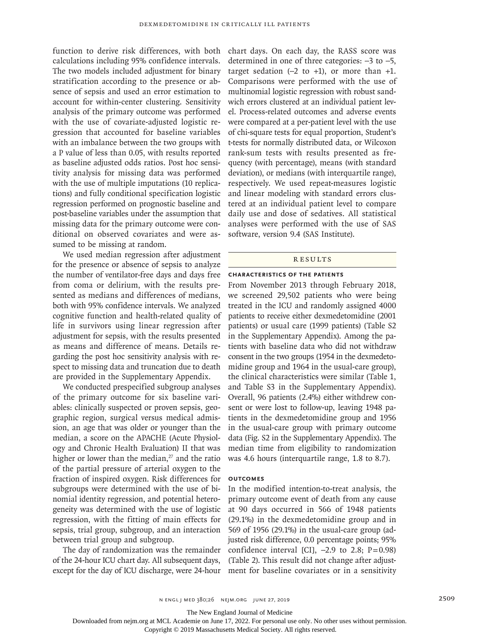function to derive risk differences, with both calculations including 95% confidence intervals. The two models included adjustment for binary stratification according to the presence or absence of sepsis and used an error estimation to account for within-center clustering. Sensitivity analysis of the primary outcome was performed with the use of covariate-adjusted logistic regression that accounted for baseline variables with an imbalance between the two groups with a P value of less than 0.05, with results reported as baseline adjusted odds ratios. Post hoc sensitivity analysis for missing data was performed with the use of multiple imputations (10 replications) and fully conditional specification logistic regression performed on prognostic baseline and post-baseline variables under the assumption that missing data for the primary outcome were conditional on observed covariates and were assumed to be missing at random.

We used median regression after adjustment for the presence or absence of sepsis to analyze the number of ventilator-free days and days free from coma or delirium, with the results presented as medians and differences of medians, both with 95% confidence intervals. We analyzed cognitive function and health-related quality of life in survivors using linear regression after adjustment for sepsis, with the results presented as means and difference of means. Details regarding the post hoc sensitivity analysis with respect to missing data and truncation due to death are provided in the Supplementary Appendix.

We conducted prespecified subgroup analyses of the primary outcome for six baseline variables: clinically suspected or proven sepsis, geographic region, surgical versus medical admission, an age that was older or younger than the median, a score on the APACHE (Acute Physiology and Chronic Health Evaluation) II that was higher or lower than the median, $27$  and the ratio of the partial pressure of arterial oxygen to the fraction of inspired oxygen. Risk differences for subgroups were determined with the use of binomial identity regression, and potential heterogeneity was determined with the use of logistic regression, with the fitting of main effects for sepsis, trial group, subgroup, and an interaction between trial group and subgroup.

The day of randomization was the remainder of the 24-hour ICU chart day. All subsequent days, except for the day of ICU discharge, were 24-hour chart days. On each day, the RASS score was determined in one of three categories: −3 to −5, target sedation  $(-2 \text{ to } +1)$ , or more than  $+1$ . Comparisons were performed with the use of multinomial logistic regression with robust sandwich errors clustered at an individual patient level. Process-related outcomes and adverse events were compared at a per-patient level with the use of chi-square tests for equal proportion, Student's t-tests for normally distributed data, or Wilcoxon rank-sum tests with results presented as frequency (with percentage), means (with standard deviation), or medians (with interquartile range), respectively. We used repeat-measures logistic and linear modeling with standard errors clustered at an individual patient level to compare daily use and dose of sedatives. All statistical analyses were performed with the use of SAS software, version 9.4 (SAS Institute).

#### **RESULTS**

### **Characteristics of the Patients**

From November 2013 through February 2018, we screened 29,502 patients who were being treated in the ICU and randomly assigned 4000 patients to receive either dexmedetomidine (2001 patients) or usual care (1999 patients) (Table S2 in the Supplementary Appendix). Among the patients with baseline data who did not withdraw consent in the two groups (1954 in the dexmedetomidine group and 1964 in the usual-care group), the clinical characteristics were similar (Table 1, and Table S3 in the Supplementary Appendix). Overall, 96 patients (2.4%) either withdrew consent or were lost to follow-up, leaving 1948 patients in the dexmedetomidine group and 1956 in the usual-care group with primary outcome data (Fig. S2 in the Supplementary Appendix). The median time from eligibility to randomization was 4.6 hours (interquartile range, 1.8 to 8.7).

#### **Outcomes**

In the modified intention-to-treat analysis, the primary outcome event of death from any cause at 90 days occurred in 566 of 1948 patients (29.1%) in the dexmedetomidine group and in 569 of 1956 (29.1%) in the usual-care group (adjusted risk difference, 0.0 percentage points; 95% confidence interval [CI],  $-2.9$  to 2.8; P=0.98) (Table 2). This result did not change after adjustment for baseline covariates or in a sensitivity

The New England Journal of Medicine

Downloaded from nejm.org at MCL Academie on June 17, 2022. For personal use only. No other uses without permission.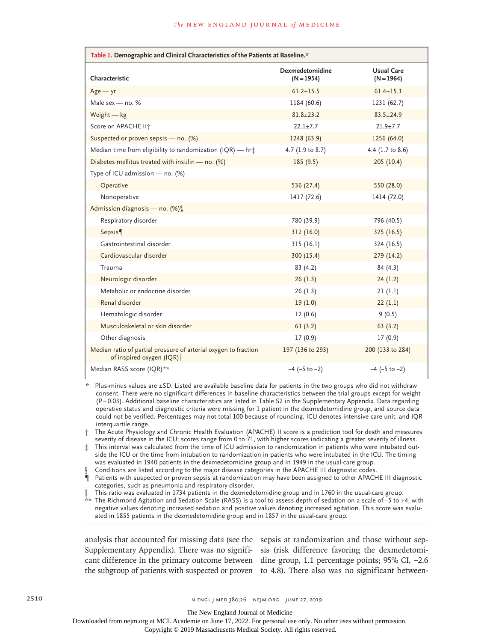| Table 1. Demographic and Clinical Characteristics of the Patients at Baseline.*             |                                 |                                   |  |  |  |  |
|---------------------------------------------------------------------------------------------|---------------------------------|-----------------------------------|--|--|--|--|
| Characteristic                                                                              | Dexmedetomidine<br>$(N = 1954)$ | <b>Usual Care</b><br>$(N = 1964)$ |  |  |  |  |
| $Age - yr$                                                                                  | $61.2 \pm 15.5$                 | $61.4 \pm 15.3$                   |  |  |  |  |
| Male sex - no. %                                                                            | 1184 (60.6)                     | 1231 (62.7)                       |  |  |  |  |
| Weight $-$ kg                                                                               | $81.8 \pm 23.2$                 | $83.5 \pm 24.9$                   |  |  |  |  |
| Score on APACHE II <sup>+</sup>                                                             | $22.1 + 7.7$                    | $21.9 + 7.7$                      |  |  |  |  |
| Suspected or proven sepsis - no. (%)                                                        | 1248 (63.9)                     | 1256 (64.0)                       |  |  |  |  |
| Median time from eligibility to randomization (IQR) - hr;                                   | 4.7 (1.9 to 8.7)                | 4.4 (1.7 to 8.6)                  |  |  |  |  |
| Diabetes mellitus treated with insulin - no. $(\%)$                                         | 185(9.5)                        | 205(10.4)                         |  |  |  |  |
| Type of ICU admission - no. (%)                                                             |                                 |                                   |  |  |  |  |
| Operative                                                                                   | 536 (27.4)                      | 550 (28.0)                        |  |  |  |  |
| Nonoperative                                                                                | 1417 (72.6)                     | 1414 (72.0)                       |  |  |  |  |
| Admission diagnosis - no. (%)                                                               |                                 |                                   |  |  |  |  |
| Respiratory disorder                                                                        | 780 (39.9)                      | 796 (40.5)                        |  |  |  |  |
| Sepsis                                                                                      | 312 (16.0)                      | 325(16.5)                         |  |  |  |  |
| Gastrointestinal disorder                                                                   | 315(16.1)                       | 324 (16.5)                        |  |  |  |  |
| Cardiovascular disorder                                                                     | 300 (15.4)                      | 279 (14.2)                        |  |  |  |  |
| Trauma                                                                                      | 83(4.2)                         | 84 (4.3)                          |  |  |  |  |
| Neurologic disorder                                                                         | 26(1.3)                         | 24(1.2)                           |  |  |  |  |
| Metabolic or endocrine disorder                                                             | 26(1.3)                         | 21(1.1)                           |  |  |  |  |
| Renal disorder                                                                              | 19(1.0)                         | 22(1.1)                           |  |  |  |  |
| Hematologic disorder                                                                        | 12(0.6)                         | 9(0.5)                            |  |  |  |  |
| Musculoskeletal or skin disorder                                                            | 63(3.2)                         | 63(3.2)                           |  |  |  |  |
| Other diagnosis                                                                             | 17(0.9)                         | 17(0.9)                           |  |  |  |  |
| Median ratio of partial pressure of arterial oxygen to fraction<br>of inspired oxygen (IQR) | 197 (136 to 293)                | 200 (133 to 284)                  |  |  |  |  |
| Median RASS score (IQR)**                                                                   | $-4$ ( $-5$ to $-2$ )           | $-4$ ( $-5$ to $-2$ )             |  |  |  |  |

 $*$  Plus-minus values are  $\pm$ SD. Listed are available baseline data for patients in the two groups who did not withdraw consent. There were no significant differences in baseline characteristics between the trial groups except for weight (P=0.03). Additional baseline characteristics are listed in Table S2 in the Supplementary Appendix. Data regarding operative status and diagnostic criteria were missing for 1 patient in the dexmedetomidine group, and source data could not be verified. Percentages may not total 100 because of rounding. ICU denotes intensive care unit, and IQR interquartile range.

† The Acute Physiology and Chronic Health Evaluation (APACHE) II score is a prediction tool for death and measures severity of disease in the ICU; scores range from 0 to 71, with higher scores indicating a greater severity of illness.

‡ This interval was calculated from the time of ICU admission to randomization in patients who were intubated outside the ICU or the time from intubation to randomization in patients who were intubated in the ICU. The timing was evaluated in 1940 patients in the dexmedetomidine group and in 1949 in the usual-care group.

Conditions are listed according to the major disease categories in the APACHE III diagnostic codes.

¶ Patients with suspected or proven sepsis at randomization may have been assigned to other APACHE III diagnostic categories, such as pneumonia and respiratory disorder.

This ratio was evaluated in 1734 patients in the dexmedetomidine group and in 1760 in the usual-care group.

\*\* The Richmond Agitation and Sedation Scale (RASS) is a tool to assess depth of sedation on a scale of −5 to +4, with negative values denoting increased sedation and positive values denoting increased agitation. This score was evaluated in 1855 patients in the dexmedetomidine group and in 1857 in the usual-care group.

analysis that accounted for missing data (see the sepsis at randomization and those without sep-

Supplementary Appendix). There was no signifi-sis (risk difference favoring the dexmedetomicant difference in the primary outcome between dine group, 1.1 percentage points; 95% CI, −2.6 the subgroup of patients with suspected or proven to 4.8). There also was no significant between-

The New England Journal of Medicine

Downloaded from nejm.org at MCL Academie on June 17, 2022. For personal use only. No other uses without permission.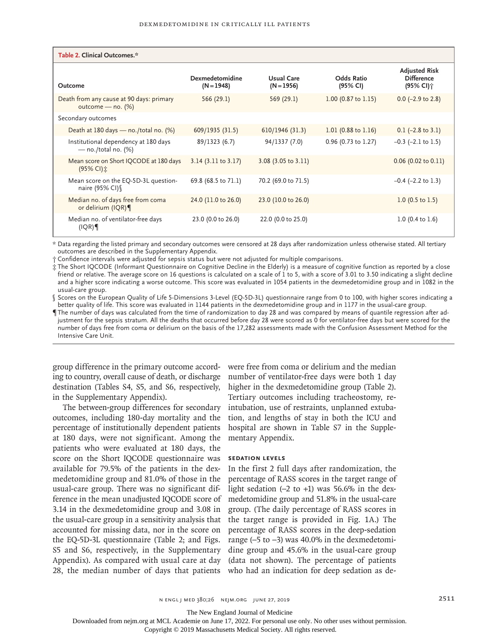| Table 2. Clinical Outcomes.*                                    |                                 |                                   |                                |                                                                    |  |  |  |
|-----------------------------------------------------------------|---------------------------------|-----------------------------------|--------------------------------|--------------------------------------------------------------------|--|--|--|
| Outcome                                                         | Dexmedetomidine<br>$(N = 1948)$ | <b>Usual Care</b><br>$(N = 1956)$ | <b>Odds Ratio</b><br>(95% CI)  | <b>Adjusted Risk</b><br><b>Difference</b><br>(95% CI) <sup>*</sup> |  |  |  |
| Death from any cause at 90 days: primary<br>outcome — $no.$ (%) | 566 (29.1)                      | 569 (29.1)                        | 1.00 $(0.87 \text{ to } 1.15)$ | $0.0$ (-2.9 to 2.8)                                                |  |  |  |
| Secondary outcomes                                              |                                 |                                   |                                |                                                                    |  |  |  |
| Death at 180 days - no./total no. (%)                           | 609/1935 (31.5)                 | 610/1946 (31.3)                   | 1.01 $(0.88 \text{ to } 1.16)$ | $0.1$ (-2.8 to 3.1)                                                |  |  |  |
| Institutional dependency at 180 days<br>— no./total no. $(\%)$  | 89/1323 (6.7)                   | 94/1337 (7.0)                     | $0.96$ (0.73 to 1.27)          | $-0.3$ ( $-2.1$ to 1.5)                                            |  |  |  |
| Mean score on Short IQCODE at 180 days<br>(95% CI) ±            | 3.14 (3.11 to 3.17)             | 3.08 (3.05 to 3.11)               |                                | $0.06$ (0.02 to 0.11)                                              |  |  |  |
| Mean score on the EQ-5D-3L question-<br>naire (95% CI) §        | 69.8 (68.5 to 71.1)             | 70.2 (69.0 to 71.5)               |                                | $-0.4$ ( $-2.2$ to 1.3)                                            |  |  |  |
| Median no. of days free from coma<br>or delirium (IQR)          | 24.0 (11.0 to 26.0)             | 23.0 (10.0 to 26.0)               |                                | 1.0 $(0.5 \text{ to } 1.5)$                                        |  |  |  |
| Median no. of ventilator-free days<br>(IQR)                     | 23.0 (0.0 to 26.0)              | 22.0 (0.0 to 25.0)                |                                | $1.0$ (0.4 to 1.6)                                                 |  |  |  |

\* Data regarding the listed primary and secondary outcomes were censored at 28 days after randomization unless otherwise stated. All tertiary outcomes are described in the Supplementary Appendix.

† Confidence intervals were adjusted for sepsis status but were not adjusted for multiple comparisons.

‡ The Short IQCODE (Informant Questionnaire on Cognitive Decline in the Elderly) is a measure of cognitive function as reported by a close friend or relative. The average score on 16 questions is calculated on a scale of  $1$  to 5, with a score of 3.01 to 3.50 indicating a slight decline and a higher score indicating a worse outcome. This score was evaluated in 1054 patients in the dexmedetomidine group and in 1082 in the usual-care group.

§ Scores on the European Quality of Life 5-Dimensions 3-Level (EQ-5D-3L) questionnaire range from 0 to 100, with higher scores indicating a better quality of life. This score was evaluated in 1144 patients in the dexmedetomidine group and in 1177 in the usual-care group.

¶ The number of days was calculated from the time of randomization to day 28 and was compared by means of quantile regression after adjustment for the sepsis stratum. All the deaths that occurred before day 28 were scored as 0 for ventilator-free days but were scored for the number of days free from coma or delirium on the basis of the 17,282 assessments made with the Confusion Assessment Method for the Intensive Care Unit.

group difference in the primary outcome accord-were free from coma or delirium and the median ing to country, overall cause of death, or discharge destination (Tables S4, S5, and S6, respectively, in the Supplementary Appendix).

The between-group differences for secondary outcomes, including 180-day mortality and the percentage of institutionally dependent patients at 180 days, were not significant. Among the patients who were evaluated at 180 days, the score on the Short IQCODE questionnaire was available for 79.5% of the patients in the dexmedetomidine group and 81.0% of those in the usual-care group. There was no significant difference in the mean unadjusted IQCODE score of 3.14 in the dexmedetomidine group and 3.08 in the usual-care group in a sensitivity analysis that accounted for missing data, nor in the score on the EQ-5D-3L questionnaire (Table 2; and Figs. S5 and S6, respectively, in the Supplementary Appendix). As compared with usual care at day 28, the median number of days that patients who had an indication for deep sedation as de-

number of ventilator-free days were both 1 day higher in the dexmedetomidine group (Table 2). Tertiary outcomes including tracheostomy, reintubation, use of restraints, unplanned extubation, and lengths of stay in both the ICU and hospital are shown in Table S7 in the Supplementary Appendix.

#### **Sedation Levels**

In the first 2 full days after randomization, the percentage of RASS scores in the target range of light sedation (−2 to +1) was 56.6% in the dexmedetomidine group and 51.8% in the usual-care group. (The daily percentage of RASS scores in the target range is provided in Fig. 1A.) The percentage of RASS scores in the deep-sedation range (−5 to −3) was 40.0% in the dexmedetomidine group and 45.6% in the usual-care group (data not shown). The percentage of patients

The New England Journal of Medicine

Downloaded from nejm.org at MCL Academie on June 17, 2022. For personal use only. No other uses without permission.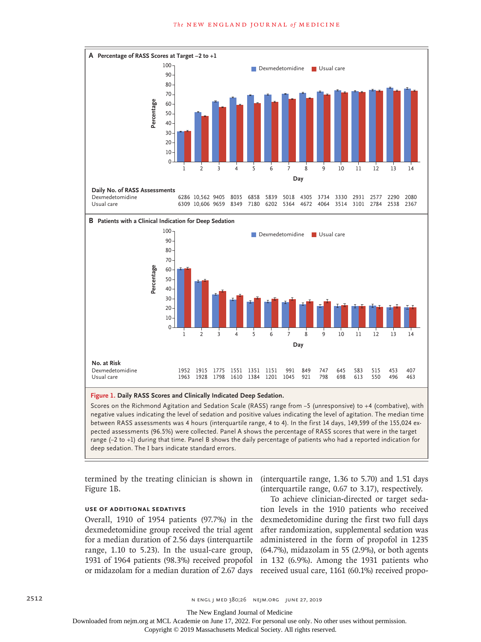



Scores on the Richmond Agitation and Sedation Scale (RASS) range from −5 (unresponsive) to +4 (combative), with negative values indicating the level of sedation and positive values indicating the level of agitation. The median time between RASS assessments was 4 hours (interquartile range, 4 to 4). In the first 14 days, 149,599 of the 155,024 expected assessments (96.5%) were collected. Panel A shows the percentage of RASS scores that were in the target range (−2 to +1) during that time. Panel B shows the daily percentage of patients who had a reported indication for

Figure 1B.

## **Use of Additional Sedatives**

Overall, 1910 of 1954 patients (97.7%) in the dexmedetomidine group received the trial agent for a median duration of 2.56 days (interquartile range, 1.10 to 5.23). In the usual-care group, 1931 of 1964 patients (98.3%) received propofol or midazolam for a median duration of 2.67 days

termined by the treating clinician is shown in (interquartile range, 1.36 to 5.70) and 1.51 days (interquartile range, 0.67 to 3.17), respectively.

> To achieve clinician-directed or target sedation levels in the 1910 patients who received dexmedetomidine during the first two full days after randomization, supplemental sedation was administered in the form of propofol in 1235 (64.7%), midazolam in 55 (2.9%), or both agents in 132 (6.9%). Among the 1931 patients who received usual care, 1161 (60.1%) received propo-

The New England Journal of Medicine

Downloaded from nejm.org at MCL Academie on June 17, 2022. For personal use only. No other uses without permission.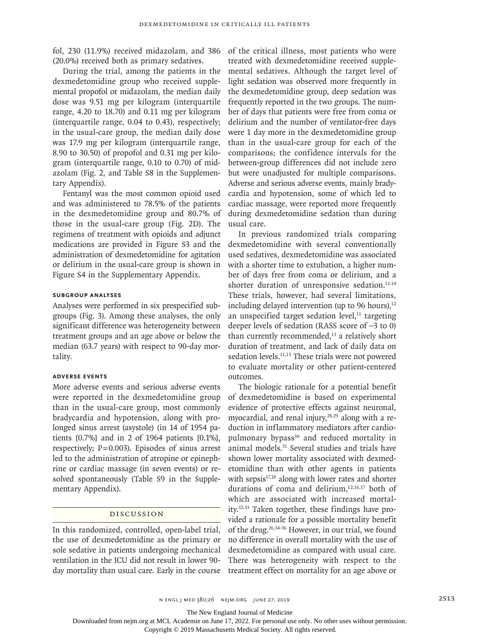fol, 230 (11.9%) received midazolam, and 386 (20.0%) received both as primary sedatives.

During the trial, among the patients in the dexmedetomidine group who received supplemental propofol or midazolam, the median daily dose was 9.51 mg per kilogram (interquartile range, 4.20 to 18.70) and 0.11 mg per kilogram (interquartile range, 0.04 to 0.43), respectively; in the usual-care group, the median daily dose was 17.9 mg per kilogram (interquartile range, 8.90 to 30.50) of propofol and 0.31 mg per kilogram (interquartile range, 0.10 to 0.70) of midazolam (Fig. 2, and Table S8 in the Supplementary Appendix).

Fentanyl was the most common opioid used and was administered to 78.5% of the patients in the dexmedetomidine group and 80.7% of those in the usual-care group (Fig. 2D). The regimens of treatment with opioids and adjunct medications are provided in Figure S3 and the administration of dexmedetomidine for agitation or delirium in the usual-care group is shown in Figure S4 in the Supplementary Appendix.

#### **Subgroup Analyses**

Analyses were performed in six prespecified subgroups (Fig. 3). Among these analyses, the only significant difference was heterogeneity between treatment groups and an age above or below the median (63.7 years) with respect to 90-day mortality.

#### **Adverse Events**

More adverse events and serious adverse events were reported in the dexmedetomidine group than in the usual-care group, most commonly bradycardia and hypotension, along with prolonged sinus arrest (asystole) (in 14 of 1954 patients [0.7%] and in 2 of 1964 patients [0.1%], respectively;  $P=0.003$ ). Episodes of sinus arrest led to the administration of atropine or epinephrine or cardiac massage (in seven events) or resolved spontaneously (Table S9 in the Supplementary Appendix).

#### Discussion

In this randomized, controlled, open-label trial, the use of dexmedetomidine as the primary or sole sedative in patients undergoing mechanical ventilation in the ICU did not result in lower 90 day mortality than usual care. Early in the course treatment effect on mortality for an age above or

of the critical illness, most patients who were treated with dexmedetomidine received supplemental sedatives. Although the target level of light sedation was observed more frequently in the dexmedetomidine group, deep sedation was frequently reported in the two groups. The number of days that patients were free from coma or delirium and the number of ventilator-free days were 1 day more in the dexmedetomidine group than in the usual-care group for each of the comparisons; the confidence intervals for the between-group differences did not include zero but were unadjusted for multiple comparisons. Adverse and serious adverse events, mainly bradycardia and hypotension, some of which led to cardiac massage, were reported more frequently during dexmedetomidine sedation than during usual care.

In previous randomized trials comparing dexmedetomidine with several conventionally used sedatives, dexmedetomidine was associated with a shorter time to extubation, a higher number of days free from coma or delirium, and a shorter duration of unresponsive sedation.<sup>11-14</sup> These trials, however, had several limitations, including delayed intervention (up to 96 hours), $^{12}$ an unspecified target sedation level, $11$  targeting deeper levels of sedation (RASS score of −3 to 0) than currently recommended, $13$  a relatively short duration of treatment, and lack of daily data on sedation levels.<sup>11,13</sup> These trials were not powered to evaluate mortality or other patient-centered outcomes.

The biologic rationale for a potential benefit of dexmedetomidine is based on experimental evidence of protective effects against neuronal, myocardial, and renal injury,<sup>28,29</sup> along with a reduction in inflammatory mediators after cardiopulmonary bypass<sup>30</sup> and reduced mortality in animal models.31 Several studies and trials have shown lower mortality associated with dexmedetomidine than with other agents in patients with sepsis $17,18$  along with lower rates and shorter durations of coma and delirium,<sup>12,16,17</sup> both of which are associated with increased mortality.32,33 Taken together, these findings have provided a rationale for a possible mortality benefit of the drug.26,34-36 However, in our trial, we found no difference in overall mortality with the use of dexmedetomidine as compared with usual care. There was heterogeneity with respect to the

The New England Journal of Medicine

Downloaded from nejm.org at MCL Academie on June 17, 2022. For personal use only. No other uses without permission.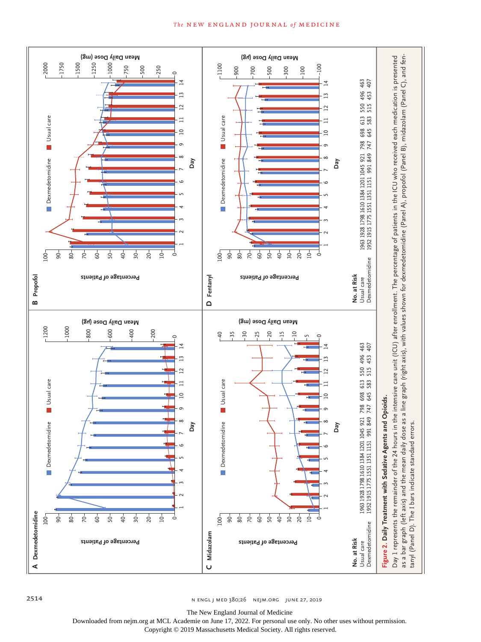

n engl j med 380;26 nejm.org June 27, 2019

The New England Journal of Medicine

Downloaded from nejm.org at MCL Academie on June 17, 2022. For personal use only. No other uses without permission.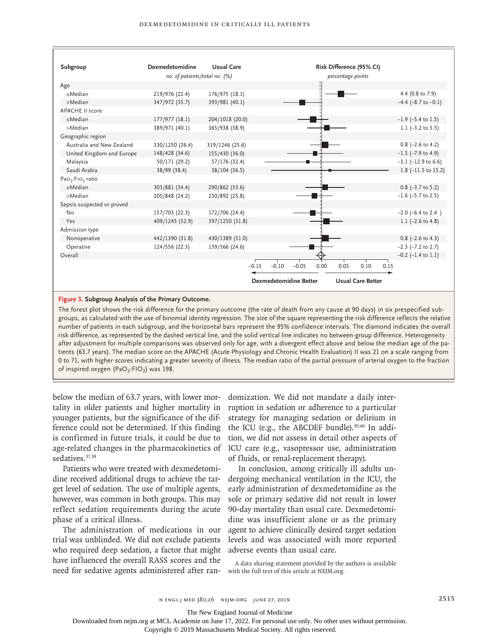| Subgroup                                                                                                                                                        | Dexmedetomidine | <b>Usual Care</b>             |                        |                   |                          |      | Risk Difference (95% CI) |      |      |                                |
|-----------------------------------------------------------------------------------------------------------------------------------------------------------------|-----------------|-------------------------------|------------------------|-------------------|--------------------------|------|--------------------------|------|------|--------------------------------|
|                                                                                                                                                                 |                 | no. of patients/total no. (%) |                        | percentage points |                          |      |                          |      |      |                                |
| Age                                                                                                                                                             |                 |                               |                        |                   |                          |      |                          |      |      |                                |
| <median< td=""><td>219/976 (22.4)</td><td>176/975 (18.1)</td><td></td><td></td><td></td><td></td><td></td><td></td><td></td><td>4.4 (0.8 to 7.9)</td></median<> | 219/976 (22.4)  | 176/975 (18.1)                |                        |                   |                          |      |                          |      |      | 4.4 (0.8 to 7.9)               |
| >Median                                                                                                                                                         | 347/972 (35.7)  | 393/981 (40.1)                |                        |                   |                          |      |                          |      |      | $-4.4$ (-8.7 to $-0.1$ )       |
| <b>APACHE II score</b>                                                                                                                                          |                 |                               |                        |                   |                          |      |                          |      |      |                                |
| $\leq$ Median                                                                                                                                                   | 177/977 (18.1)  | 204/1018 (20.0)               |                        |                   |                          |      |                          |      |      | $-1.9$ (-5.4 to 1.5)           |
| >Median                                                                                                                                                         | 389/971 (40.1)  | 365/938 (38.9)                |                        |                   |                          |      |                          |      |      | 1.1 $(-3.2 \text{ to } 5.5)$   |
| Geographic region                                                                                                                                               |                 |                               |                        |                   |                          |      |                          |      |      |                                |
| Australia and New Zealand                                                                                                                                       | 330/1250 (26.4) | 319/1246 (25.6)               |                        |                   |                          |      |                          |      |      | $0.8$ (-2.6 to 4.2)            |
| United Kingdom and Europe                                                                                                                                       | 148/428 (34.6)  | 155/430 (36.0)                |                        |                   |                          |      |                          |      |      | $-1.5$ ( $-7.9$ to 4.9)        |
| Malaysia                                                                                                                                                        | 50/171 (29.2)   | 57/176 (32.4)                 |                        |                   |                          |      |                          |      |      | $-3.1$ ( $-12.9$ to 6.6)       |
| Saudi Arabia                                                                                                                                                    | 38/99 (38.4)    | 38/104 (36.5)                 |                        |                   |                          |      |                          |      |      | 1.8 $(-11.5 \text{ to } 15.2)$ |
| Pao <sub>2</sub> :Fio <sub>2</sub> ratio                                                                                                                        |                 |                               |                        |                   |                          |      |                          |      |      |                                |
| $\leq$ Median                                                                                                                                                   | 303/881 (34.4)  | 290/862 (33.6)                |                        |                   |                          |      |                          |      |      | $0.8$ (-3.7 to 5.2)            |
| >Median                                                                                                                                                         | 205/848 (24.2)  | 230/892 (25.8)                |                        |                   |                          |      |                          |      |      | $-1.6$ (-5.7 to 2.5)           |
| Sepsis suspected or proved                                                                                                                                      |                 |                               |                        |                   |                          |      |                          |      |      |                                |
| No                                                                                                                                                              | 157/703 (22.3)  | 172/706 (24.4)                |                        |                   |                          |      |                          |      |      | $-2.0$ ( $-6.4$ to 2.4)        |
| Yes                                                                                                                                                             | 409/1245 (32.9) | 397/1250 (31.8)               |                        |                   |                          |      |                          |      |      | 1.1 $(-2.6 \text{ to } 4.8)$   |
| Admission type                                                                                                                                                  |                 |                               |                        |                   |                          |      |                          |      |      |                                |
| Nonoperative                                                                                                                                                    | 442/1390 (31.8) | 430/1389 (31.0)               |                        |                   |                          |      |                          |      |      | $0.8$ (-2.6 to 4.3)            |
| Operative                                                                                                                                                       | 124/556 (22.3)  | 139/566 (24.6)                |                        |                   |                          |      |                          |      |      | $-2.3$ ( $-7.2$ to 2.7)        |
| Overall                                                                                                                                                         |                 |                               |                        |                   |                          |      |                          |      |      | $-0.2$ ( $-1.4$ to $1.1$ )     |
|                                                                                                                                                                 |                 |                               | $-0.15$                | $-0.10$           | $-0.05$                  | 0.00 | 0.05                     | 0.10 | 0.15 |                                |
|                                                                                                                                                                 |                 |                               | Dexmedetomidine Better |                   | <b>Usual Care Better</b> |      |                          |      |      |                                |

#### **Figure 3. Subgroup Analysis of the Primary Outcome.**

The forest plot shows the risk difference for the primary outcome (the rate of death from any cause at 90 days) in six prespecified subgroups, as calculated with the use of binomial identity regression. The size of the square representing the risk difference reflects the relative number of patients in each subgroup, and the horizontal bars represent the 95% confidence intervals. The diamond indicates the overall risk difference, as represented by the dashed vertical line, and the solid vertical line indicates no between-group difference. Heterogeneity after adjustment for multiple comparisons was observed only for age, with a divergent effect above and below the median age of the patients (63.7 years). The median score on the APACHE (Acute Physiology and Chronic Health Evaluation) II was 21 on a scale ranging from 0 to 71, with higher scores indicating a greater severity of illness. The median ratio of the partial pressure of arterial oxygen to the fraction of inspired oxygen (PaO<sub>2</sub>:FIO<sub>2</sub>) was 198.

below the median of 63.7 years, with lower mortality in older patients and higher mortality in younger patients, but the significance of the difference could not be determined. If this finding is confirmed in future trials, it could be due to age-related changes in the pharmacokinetics of sedatives.<sup>37,38</sup>

Patients who were treated with dexmedetomidine received additional drugs to achieve the target level of sedation. The use of multiple agents, however, was common in both groups. This may reflect sedation requirements during the acute phase of a critical illness.

The administration of medications in our trial was unblinded. We did not exclude patients who required deep sedation, a factor that might have influenced the overall RASS scores and the need for sedative agents administered after ran-

domization. We did not mandate a daily interruption in sedation or adherence to a particular strategy for managing sedation or delirium in the ICU (e.g., the ABCDEF bundle).<sup>39,40</sup> In addition, we did not assess in detail other aspects of ICU care (e.g., vasopressor use, administration of fluids, or renal-replacement therapy).

In conclusion, among critically ill adults undergoing mechanical ventilation in the ICU, the early administration of dexmedetomidine as the sole or primary sedative did not result in lower 90-day mortality than usual care. Dexmedetomidine was insufficient alone or as the primary agent to achieve clinically desired target sedation levels and was associated with more reported adverse events than usual care.

A data sharing statement provided by the authors is available with the full text of this article at NEJM.org.

The New England Journal of Medicine

Downloaded from nejm.org at MCL Academie on June 17, 2022. For personal use only. No other uses without permission.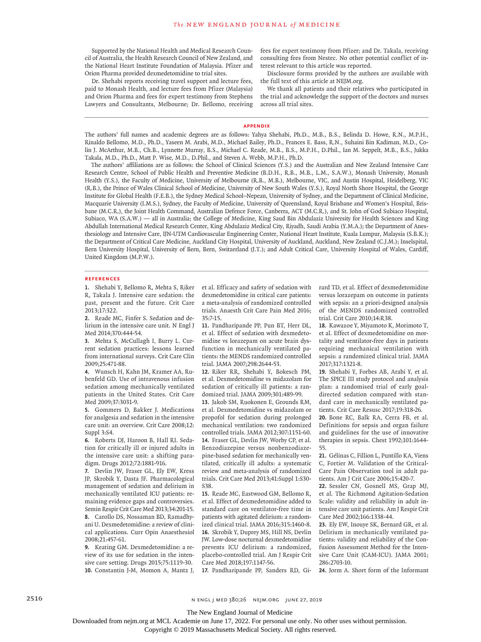Supported by the National Health and Medical Research Council of Australia, the Health Research Council of New Zealand, and the National Heart Institute Foundation of Malaysia. Pfizer and Orion Pharma provided dexmedetomidine to trial sites.

Dr. Shehabi reports receiving travel support and lecture fees, paid to Monash Health, and lecture fees from Pfizer (Malaysia) and Orion Pharma and fees for expert testimony from Stephens Lawyers and Consultants, Melbourne; Dr. Bellomo, receiving

fees for expert testimony from Pfizer; and Dr. Takala, receiving consulting fees from Nestec. No other potential conflict of interest relevant to this article was reported.

Disclosure forms provided by the authors are available with the full text of this article at NEJM.org.

We thank all patients and their relatives who participated in the trial and acknowledge the support of the doctors and nurses across all trial sites.

#### **Appendix**

The authors' full names and academic degrees are as follows: Yahya Shehabi, Ph.D., M.B., B.S., Belinda D. Howe, R.N., M.P.H., Rinaldo Bellomo, M.D., Ph.D., Yaseen M. Arabi, M.D., Michael Bailey, Ph.D., Frances E. Bass, R.N., Suhaini Bin Kadiman, M.D., Colin J. McArthur, M.B., Ch.B., Lynnette Murray, B.S., Michael C. Reade, M.B., B.S., M.P.H., D.Phil., Ian M. Seppelt, M.B., B.S., Jukka Takala, M.D., Ph.D., Matt P. Wise, M.D., D.Phil., and Steven A. Webb, M.P.H., Ph.D.

The authors' affiliations are as follows: the School of Clinical Sciences (Y.S.) and the Australian and New Zealand Intensive Care Research Centre, School of Public Health and Preventive Medicine (B.D.H., R.B., M.B., L.M., S.A.W.), Monash University, Monash Health (Y.S.), the Faculty of Medicine, University of Melbourne (R.B., M.B.), Melbourne, VIC, and Austin Hospital, Heidelberg, VIC (R.B.), the Prince of Wales Clinical School of Medicine, University of New South Wales (Y.S.), Royal North Shore Hospital, the George Institute for Global Health (F.E.B.), the Sydney Medical School–Nepean, University of Sydney, and the Department of Clinical Medicine, Macquarie University (I.M.S.), Sydney, the Faculty of Medicine, University of Queensland, Royal Brisbane and Women's Hospital, Brisbane (M.C.R.), the Joint Health Command, Australian Defence Force, Canberra, ACT (M.C.R.), and St. John of God Subiaco Hospital, Subiaco, WA (S.A.W.) — all in Australia; the College of Medicine, King Saud Bin Abdulaziz University for Health Sciences and King Abdullah International Medical Research Center, King Abdulaziz Medical City, Riyadh, Saudi Arabia (Y.M.A.); the Department of Anesthesiology and Intensive Care, IJN-UTM Cardiovascular Engineering Center, National Heart Institute, Kuala Lumpur, Malaysia (S.B.K.); the Department of Critical Care Medicine, Auckland City Hospital, University of Auckland, Auckland, New Zealand (C.J.M.); Inselspital, Bern University Hospital, University of Bern, Bern, Switzerland (J.T.); and Adult Critical Care, University Hospital of Wales, Cardiff, United Kingdom (M.P.W.).

#### **References**

**1.** Shehabi Y, Bellomo R, Mehta S, Riker R, Takala J. Intensive care sedation: the past, present and the future. Crit Care 2013;17:322.

**2.** Reade MC, Finfer S. Sedation and delirium in the intensive care unit. N Engl J Med 2014;370:444-54.

**3.** Mehta S, McCullagh I, Burry L. Current sedation practices: lessons learned from international surveys. Crit Care Clin 2009;25:471-88.

**4.** Wunsch H, Kahn JM, Kramer AA, Rubenfeld GD. Use of intravenous infusion sedation among mechanically ventilated patients in the United States. Crit Care Med 2009;37:3031-9.

**5.** Gommers D, Bakker J. Medications for analgesia and sedation in the intensive care unit: an overview. Crit Care 2008;12: Suppl 3:S4.

**6.** Roberts DJ, Haroon B, Hall RI. Sedation for critically ill or injured adults in the intensive care unit: a shifting paradigm. Drugs 2012;72:1881-916.

**7.** Devlin JW, Fraser GL, Ely EW, Kress JP, Skrobik Y, Dasta JF. Pharmacological management of sedation and delirium in mechanically ventilated ICU patients: remaining evidence gaps and controversies. Semin Respir Crit Care Med 2013;34:201-15.

**8.** Carollo DS, Nossaman BD, Ramadhyani U. Dexmedetomidine: a review of clinical applications. Curr Opin Anaesthesiol 2008;21:457-61.

**9.** Keating GM. Dexmedetomidine: a review of its use for sedation in the intensive care setting. Drugs 2015;75:1119-30. **10.** Constantin J-M, Momon A, Mantz J, et al. Efficacy and safety of sedation with dexmedetomidine in critical care patients: a meta-analysis of randomized controlled trials. Anaesth Crit Care Pain Med 2016; 35:7-15.

**11.** Pandharipande PP, Pun BT, Herr DL, et al. Effect of sedation with dexmedetomidine vs lorazepam on acute brain dysfunction in mechanically ventilated patients: the MENDS randomized controlled trial. JAMA 2007;298:2644-53.

**12.** Riker RR, Shehabi Y, Bokesch PM, et al. Dexmedetomidine vs midazolam for sedation of critically ill patients: a randomized trial. JAMA 2009;301:489-99.

**13.** Jakob SM, Ruokonen E, Grounds RM, et al. Dexmedetomidine vs midazolam or propofol for sedation during prolonged mechanical ventilation: two randomized controlled trials. JAMA 2012;307:1151-60. **14.** Fraser GL, Devlin JW, Worby CP, et al. Benzodiazepine versus nonbenzodiazepine-based sedation for mechanically ventilated, critically ill adults: a systematic review and meta-analysis of randomized trials. Crit Care Med 2013;41:Suppl 1:S30- S38.

**15.** Reade MC, Eastwood GM, Bellomo R, et al. Effect of dexmedetomidine added to standard care on ventilator-free time in patients with agitated delirium: a randomized clinical trial. JAMA 2016;315:1460-8. **16.** Skrobik Y, Duprey MS, Hill NS, Devlin JW. Low-dose nocturnal dexmedetomidine prevents ICU delirium: a randomized, placebo-controlled trial. Am J Respir Crit Care Med 2018;197:1147-56.

**17.** Pandharipande PP, Sanders RD, Gi-

rard TD, et al. Effect of dexmedetomidine versus lorazepam on outcome in patients with sepsis: an a priori-designed analysis of the MENDS randomized controlled trial. Crit Care 2010;14:R38.

**18.** Kawazoe Y, Miyamoto K, Morimoto T, et al. Effect of dexmedetomidine on mortality and ventilator-free days in patients requiring mechanical ventilation with sepsis: a randomized clinical trial. JAMA 2017;317:1321-8.

**19.** Shehabi Y, Forbes AB, Arabi Y, et al. The SPICE III study protocol and analysis plan: a randomised trial of early goaldirected sedation compared with standard care in mechanically ventilated patients. Crit Care Resusc 2017;19:318-26.

**20.** Bone RC, Balk RA, Cerra FB, et al. Definitions for sepsis and organ failure and guidelines for the use of innovative therapies in sepsis. Chest 1992;101:1644- 55.

**21.** Gélinas C, Fillion L, Puntillo KA, Viens C, Fortier M. Validation of the Critical-Care Pain Observation tool in adult patients. Am J Crit Care 2006;15:420-7.

**22.** Sessler CN, Gosnell MS, Grap MJ, et al. The Richmond Agitation-Sedation Scale: validity and reliability in adult intensive care unit patients. Am J Respir Crit Care Med 2002;166:1338-44.

**23.** Ely EW, Inouye SK, Bernard GR, et al. Delirium in mechanically ventilated patients: validity and reliability of the Confusion Assessment Method for the Intensive Care Unit (CAM-ICU). JAMA 2001; 286:2703-10.

**24.** Jorm A. Short form of the Informant

2516 **n ENGL j MED 380;26 NEIM.ORG JUNE 27, 2019** 

The New England Journal of Medicine

Downloaded from nejm.org at MCL Academie on June 17, 2022. For personal use only. No other uses without permission.